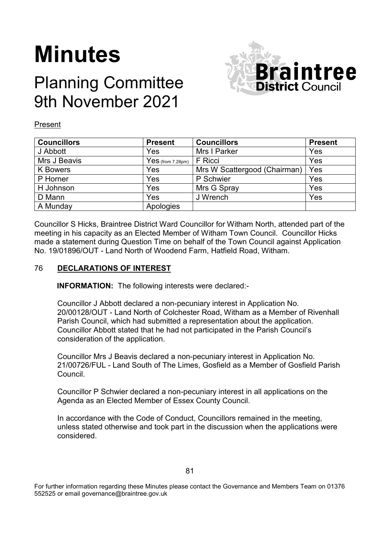# **Minutes**

## Planning Committee 9th November 2021



#### Present

| <b>Councillors</b> | <b>Present</b>      | <b>Councillors</b>           | <b>Present</b> |
|--------------------|---------------------|------------------------------|----------------|
| J Abbott           | Yes                 | Mrs I Parker                 | Yes            |
| Mrs J Beavis       | $Yes$ (from 7.28pm) | F Ricci                      | Yes            |
| K Bowers           | Yes                 | Mrs W Scattergood (Chairman) | Yes            |
| P Horner           | Yes                 | P Schwier                    | Yes            |
| H Johnson          | Yes                 | Mrs G Spray                  | Yes            |
| D Mann             | Yes                 | J Wrench                     | Yes            |
| A Munday           | Apologies           |                              |                |

Councillor S Hicks, Braintree District Ward Councillor for Witham North, attended part of the meeting in his capacity as an Elected Member of Witham Town Council. Councillor Hicks made a statement during Question Time on behalf of the Town Council against Application No. 19/01896/OUT - Land North of Woodend Farm, Hatfield Road, Witham.

#### 76 **DECLARATIONS OF INTEREST**

**INFORMATION:** The following interests were declared:-

Councillor J Abbott declared a non-pecuniary interest in Application No. 20/00128/OUT - Land North of Colchester Road, Witham as a Member of Rivenhall Parish Council, which had submitted a representation about the application. Councillor Abbott stated that he had not participated in the Parish Council's consideration of the application.

Councillor Mrs J Beavis declared a non-pecuniary interest in Application No. 21/00726/FUL - Land South of The Limes, Gosfield as a Member of Gosfield Parish Council.

Councillor P Schwier declared a non-pecuniary interest in all applications on the Agenda as an Elected Member of Essex County Council.

In accordance with the Code of Conduct, Councillors remained in the meeting, unless stated otherwise and took part in the discussion when the applications were considered.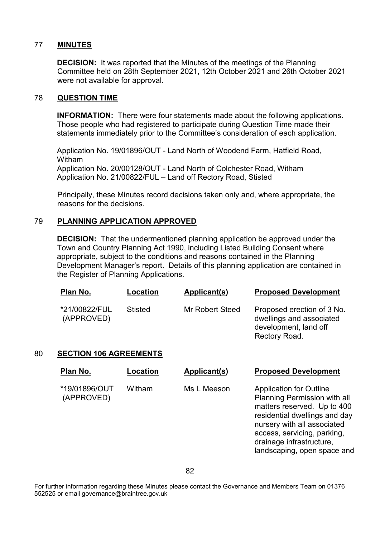#### 77 **MINUTES**

**DECISION:** It was reported that the Minutes of the meetings of the Planning Committee held on 28th September 2021, 12th October 2021 and 26th October 2021 were not available for approval.

### 78 **QUESTION TIME**

**INFORMATION:** There were four statements made about the following applications. Those people who had registered to participate during Question Time made their statements immediately prior to the Committee's consideration of each application.

Application No. 19/01896/OUT - Land North of Woodend Farm, Hatfield Road, Witham Application No. 20/00128/OUT - Land North of Colchester Road, Witham Application No. 21/00822/FUL – Land off Rectory Road, Stisted

Principally, these Minutes record decisions taken only and, where appropriate, the reasons for the decisions.

### 79 **PLANNING APPLICATION APPROVED**

**DECISION:** That the undermentioned planning application be approved under the Town and Country Planning Act 1990, including Listed Building Consent where appropriate, subject to the conditions and reasons contained in the Planning Development Manager's report. Details of this planning application are contained in the Register of Planning Applications.

| <u>Plan No.</u>             | Location | Applicant(s)    | <b>Proposed Development</b>                                                                      |
|-----------------------------|----------|-----------------|--------------------------------------------------------------------------------------------------|
| *21/00822/FUL<br>(APPROVED) | Stisted  | Mr Robert Steed | Proposed erection of 3 No.<br>dwellings and associated<br>development, land off<br>Rectory Road. |

#### 80 **SECTION 106 AGREEMENTS**

| Plan No.                    | Location | Applicant(s) | <b>Proposed Development</b>                                                                                                                                                                                                                                    |
|-----------------------------|----------|--------------|----------------------------------------------------------------------------------------------------------------------------------------------------------------------------------------------------------------------------------------------------------------|
| *19/01896/OUT<br>(APPROVED) | Witham   | Ms L Meeson  | <b>Application for Outline</b><br><b>Planning Permission with all</b><br>matters reserved. Up to 400<br>residential dwellings and day<br>nursery with all associated<br>access, servicing, parking,<br>drainage infrastructure,<br>landscaping, open space and |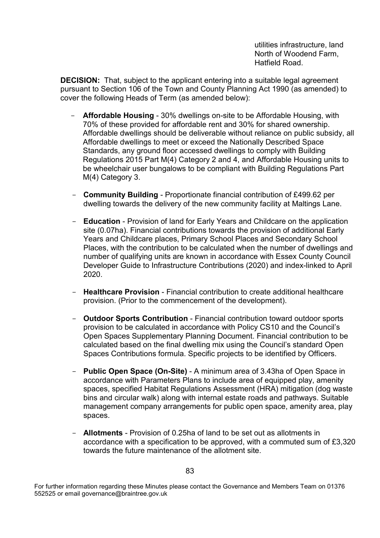utilities infrastructure, land North of Woodend Farm, Hatfield Road.

**DECISION:** That, subject to the applicant entering into a suitable legal agreement pursuant to Section 106 of the Town and County Planning Act 1990 (as amended) to cover the following Heads of Term (as amended below):

- **Affordable Housing** 30% dwellings on-site to be Affordable Housing, with 70% of these provided for affordable rent and 30% for shared ownership. Affordable dwellings should be deliverable without reliance on public subsidy, all Affordable dwellings to meet or exceed the Nationally Described Space Standards, any ground floor accessed dwellings to comply with Building Regulations 2015 Part M(4) Category 2 and 4, and Affordable Housing units to be wheelchair user bungalows to be compliant with Building Regulations Part M(4) Category 3.
- **Community Building** Proportionate financial contribution of £499.62 per dwelling towards the delivery of the new community facility at Maltings Lane.
- **Education** Provision of land for Early Years and Childcare on the application site (0.07ha). Financial contributions towards the provision of additional Early Years and Childcare places, Primary School Places and Secondary School Places, with the contribution to be calculated when the number of dwellings and number of qualifying units are known in accordance with Essex County Council Developer Guide to Infrastructure Contributions (2020) and index-linked to April 2020.
- **Healthcare Provision** Financial contribution to create additional healthcare provision. (Prior to the commencement of the development).
- **Outdoor Sports Contribution** Financial contribution toward outdoor sports provision to be calculated in accordance with Policy CS10 and the Council's Open Spaces Supplementary Planning Document. Financial contribution to be calculated based on the final dwelling mix using the Council's standard Open Spaces Contributions formula. Specific projects to be identified by Officers.
- **Public Open Space (On-Site)** A minimum area of 3.43ha of Open Space in accordance with Parameters Plans to include area of equipped play, amenity spaces, specified Habitat Regulations Assessment (HRA) mitigation (dog waste bins and circular walk) along with internal estate roads and pathways. Suitable management company arrangements for public open space, amenity area, play spaces.
- **Allotments** Provision of 0.25ha of land to be set out as allotments in accordance with a specification to be approved, with a commuted sum of £3,320 towards the future maintenance of the allotment site.

For further information regarding these Minutes please contact the Governance and Members Team on 01376 552525 or email governance@braintree.gov.uk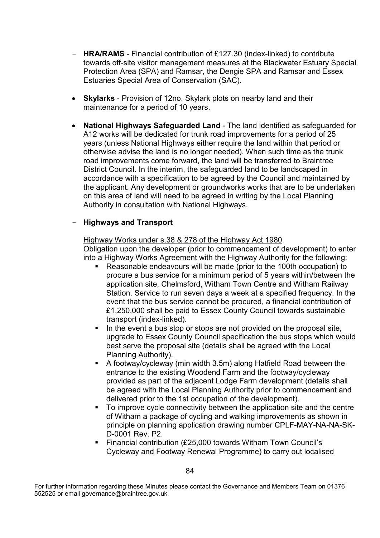- **HRA/RAMS** Financial contribution of £127.30 (index-linked) to contribute towards off-site visitor management measures at the Blackwater Estuary Special Protection Area (SPA) and Ramsar, the Dengie SPA and Ramsar and Essex Estuaries Special Area of Conservation (SAC).
- **Skylarks** Provision of 12no. Skylark plots on nearby land and their maintenance for a period of 10 years.
- **National Highways Safeguarded Land** The land identified as safeguarded for A12 works will be dedicated for trunk road improvements for a period of 25 years (unless National Highways either require the land within that period or otherwise advise the land is no longer needed). When such time as the trunk road improvements come forward, the land will be transferred to Braintree District Council. In the interim, the safeguarded land to be landscaped in accordance with a specification to be agreed by the Council and maintained by the applicant. Any development or groundworks works that are to be undertaken on this area of land will need to be agreed in writing by the Local Planning Authority in consultation with National Highways.

### - **Highways and Transport**

#### Highway Works under s.38 & 278 of the Highway Act 1980 Obligation upon the developer (prior to commencement of development) to enter into a Highway Works Agreement with the Highway Authority for the following:

- Reasonable endeavours will be made (prior to the 100th occupation) to procure a bus service for a minimum period of 5 years within/between the application site, Chelmsford, Witham Town Centre and Witham Railway Station. Service to run seven days a week at a specified frequency. In the event that the bus service cannot be procured, a financial contribution of £1,250,000 shall be paid to Essex County Council towards sustainable transport (index-linked).
- In the event a bus stop or stops are not provided on the proposal site, upgrade to Essex County Council specification the bus stops which would best serve the proposal site (details shall be agreed with the Local Planning Authority).
- A footway/cycleway (min width 3.5m) along Hatfield Road between the entrance to the existing Woodend Farm and the footway/cycleway provided as part of the adjacent Lodge Farm development (details shall be agreed with the Local Planning Authority prior to commencement and delivered prior to the 1st occupation of the development).
- To improve cycle connectivity between the application site and the centre of Witham a package of cycling and walking improvements as shown in principle on planning application drawing number CPLF-MAY-NA-NA-SK-D-0001 Rev. P2.
- Financial contribution (£25,000 towards Witham Town Council's Cycleway and Footway Renewal Programme) to carry out localised

For further information regarding these Minutes please contact the Governance and Members Team on 01376 552525 or email governance@braintree.gov.uk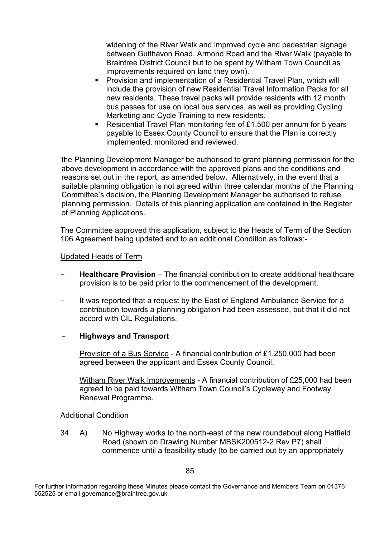widening of the River Walk and improved cycle and pedestrian signage between Guithavon Road, Armond Road and the River Walk (payable to Braintree District Council but to be spent by Witham Town Council as improvements required on land they own).

- **Provision and implementation of a Residential Travel Plan, which will** include the provision of new Residential Travel Information Packs for all new residents. These travel packs will provide residents with 12 month bus passes for use on local bus services, as well as providing Cycling Marketing and Cycle Training to new residents.
- Residential Travel Plan monitoring fee of £1,500 per annum for 5 years payable to Essex County Council to ensure that the Plan is correctly implemented, monitored and reviewed.

the Planning Development Manager be authorised to grant planning permission for the above development in accordance with the approved plans and the conditions and reasons set out in the report, as amended below. Alternatively, in the event that a suitable planning obligation is not agreed within three calendar months of the Planning Committee's decision, the Planning Development Manager be authorised to refuse planning permission. Details of this planning application are contained in the Register of Planning Applications.

The Committee approved this application, subject to the Heads of Term of the Section 106 Agreement being updated and to an additional Condition as follows:-

#### Updated Heads of Term

- **Healthcare Provision** The financial contribution to create additional healthcare provision is to be paid prior to the commencement of the development.
- It was reported that a request by the East of England Ambulance Service for a contribution towards a planning obligation had been assessed, but that it did not accord with CIL Regulations.

#### - **Highways and Transport**

Provision of a Bus Service - A financial contribution of £1,250,000 had been agreed between the applicant and Essex County Council.

Witham River Walk Improvements - A financial contribution of £25,000 had been agreed to be paid towards Witham Town Council's Cycleway and Footway Renewal Programme.

#### Additional Condition

34. A) No Highway works to the north-east of the new roundabout along Hatfield Road (shown on Drawing Number MBSK200512-2 Rev P7) shall commence until a feasibility study (to be carried out by an appropriately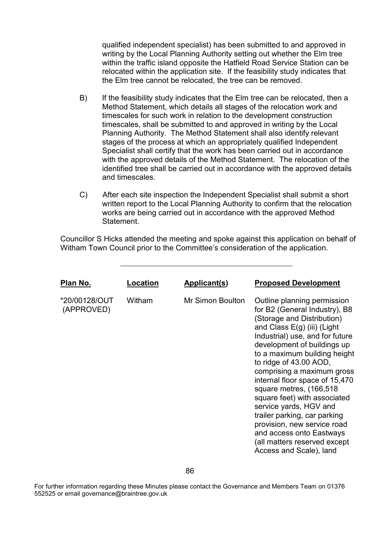qualified independent specialist) has been submitted to and approved in writing by the Local Planning Authority setting out whether the Elm tree within the traffic island opposite the Hatfield Road Service Station can be relocated within the application site. If the feasibility study indicates that the Elm tree cannot be relocated, the tree can be removed.

- B) If the feasibility study indicates that the Elm tree can be relocated, then a Method Statement, which details all stages of the relocation work and timescales for such work in relation to the development construction timescales, shall be submitted to and approved in writing by the Local Planning Authority. The Method Statement shall also identify relevant stages of the process at which an appropriately qualified Independent Specialist shall certify that the work has been carried out in accordance with the approved details of the Method Statement. The relocation of the identified tree shall be carried out in accordance with the approved details and timescales.
- C) After each site inspection the Independent Specialist shall submit a short written report to the Local Planning Authority to confirm that the relocation works are being carried out in accordance with the approved Method Statement.

Councillor S Hicks attended the meeting and spoke against this application on behalf of Witham Town Council prior to the Committee's consideration of the application.

| Plan No.                    | Location | Applicant(s)     | <b>Proposed Development</b>                                                                                                                                                                                                                                                                                                                                                                                                                                                                                                                                        |
|-----------------------------|----------|------------------|--------------------------------------------------------------------------------------------------------------------------------------------------------------------------------------------------------------------------------------------------------------------------------------------------------------------------------------------------------------------------------------------------------------------------------------------------------------------------------------------------------------------------------------------------------------------|
| *20/00128/OUT<br>(APPROVED) | Witham   | Mr Simon Boulton | Outline planning permission<br>for B2 (General Industry), B8<br>(Storage and Distribution)<br>and Class $E(g)$ (iii) (Light<br>Industrial) use, and for future<br>development of buildings up<br>to a maximum building height<br>to ridge of 43.00 AOD,<br>comprising a maximum gross<br>internal floor space of 15,470<br>square metres, (166,518<br>square feet) with associated<br>service yards, HGV and<br>trailer parking, car parking<br>provision, new service road<br>and access onto Eastways<br>(all matters reserved except<br>Access and Scale), land |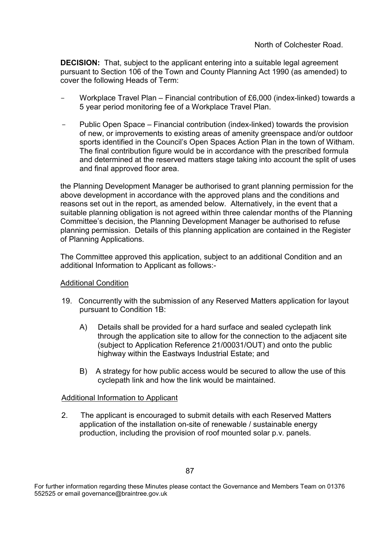**DECISION:** That, subject to the applicant entering into a suitable legal agreement pursuant to Section 106 of the Town and County Planning Act 1990 (as amended) to cover the following Heads of Term:

- Workplace Travel Plan Financial contribution of £6,000 (index-linked) towards a 5 year period monitoring fee of a Workplace Travel Plan.
- Public Open Space Financial contribution (index-linked) towards the provision of new, or improvements to existing areas of amenity greenspace and/or outdoor sports identified in the Council's Open Spaces Action Plan in the town of Witham. The final contribution figure would be in accordance with the prescribed formula and determined at the reserved matters stage taking into account the split of uses and final approved floor area.

the Planning Development Manager be authorised to grant planning permission for the above development in accordance with the approved plans and the conditions and reasons set out in the report, as amended below. Alternatively, in the event that a suitable planning obligation is not agreed within three calendar months of the Planning Committee's decision, the Planning Development Manager be authorised to refuse planning permission. Details of this planning application are contained in the Register of Planning Applications.

The Committee approved this application, subject to an additional Condition and an additional Information to Applicant as follows:-

#### Additional Condition

- 19. Concurrently with the submission of any Reserved Matters application for layout pursuant to Condition 1B:
	- A) Details shall be provided for a hard surface and sealed cyclepath link through the application site to allow for the connection to the adjacent site (subject to Application Reference 21/00031/OUT) and onto the public highway within the Eastways Industrial Estate; and
	- B) A strategy for how public access would be secured to allow the use of this cyclepath link and how the link would be maintained.

#### Additional Information to Applicant

2. The applicant is encouraged to submit details with each Reserved Matters application of the installation on-site of renewable / sustainable energy production, including the provision of roof mounted solar p.v. panels.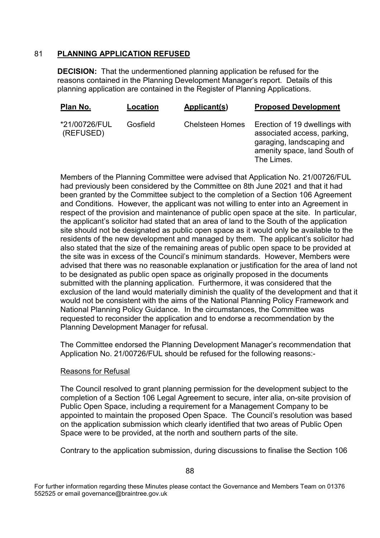### 81 **PLANNING APPLICATION REFUSED**

**DECISION:** That the undermentioned planning application be refused for the reasons contained in the Planning Development Manager's report. Details of this planning application are contained in the Register of Planning Applications.

| Plan No.                   | Location | <b>Applicant(s)</b>    | <b>Proposed Development</b>                                                                                                             |
|----------------------------|----------|------------------------|-----------------------------------------------------------------------------------------------------------------------------------------|
| *21/00726/FUL<br>(REFUSED) | Gosfield | <b>Chelsteen Homes</b> | Erection of 19 dwellings with<br>associated access, parking,<br>garaging, landscaping and<br>amenity space, land South of<br>The Limes. |

Members of the Planning Committee were advised that Application No. 21/00726/FUL had previously been considered by the Committee on 8th June 2021 and that it had been granted by the Committee subject to the completion of a Section 106 Agreement and Conditions. However, the applicant was not willing to enter into an Agreement in respect of the provision and maintenance of public open space at the site. In particular, the applicant's solicitor had stated that an area of land to the South of the application site should not be designated as public open space as it would only be available to the residents of the new development and managed by them. The applicant's solicitor had also stated that the size of the remaining areas of public open space to be provided at the site was in excess of the Council's minimum standards. However, Members were advised that there was no reasonable explanation or justification for the area of land not to be designated as public open space as originally proposed in the documents submitted with the planning application. Furthermore, it was considered that the exclusion of the land would materially diminish the quality of the development and that it would not be consistent with the aims of the National Planning Policy Framework and National Planning Policy Guidance. In the circumstances, the Committee was requested to reconsider the application and to endorse a recommendation by the Planning Development Manager for refusal.

The Committee endorsed the Planning Development Manager's recommendation that Application No. 21/00726/FUL should be refused for the following reasons:-

#### Reasons for Refusal

The Council resolved to grant planning permission for the development subject to the completion of a Section 106 Legal Agreement to secure, inter alia, on-site provision of Public Open Space, including a requirement for a Management Company to be appointed to maintain the proposed Open Space. The Council's resolution was based on the application submission which clearly identified that two areas of Public Open Space were to be provided, at the north and southern parts of the site.

Contrary to the application submission, during discussions to finalise the Section 106

For further information regarding these Minutes please contact the Governance and Members Team on 01376 552525 or email governance@braintree.gov.uk